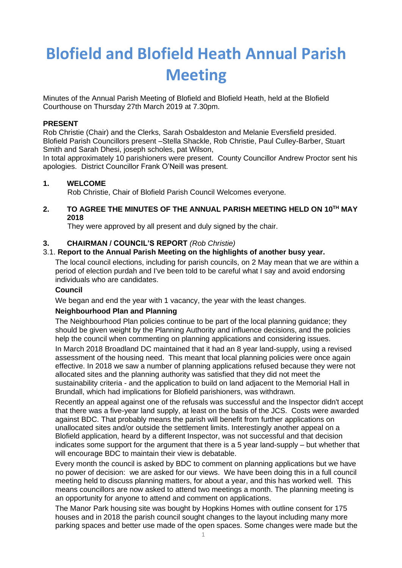# **Blofield and Blofield Heath Annual Parish Meeting**

Minutes of the Annual Parish Meeting of Blofield and Blofield Heath, held at the Blofield Courthouse on Thursday 27th March 2019 at 7.30pm.

## **PRESENT**

Rob Christie (Chair) and the Clerks, Sarah Osbaldeston and Melanie Eversfield presided. Blofield Parish Councillors present –Stella Shackle, Rob Christie, Paul Culley-Barber, Stuart Smith and Sarah Dhesi, joseph scholes, pat Wilson,

In total approximately 10 parishioners were present. County Councillor Andrew Proctor sent his apologies. District Councillor Frank O'Neill was present.

# **1. WELCOME**

Rob Christie, Chair of Blofield Parish Council Welcomes everyone.

## **2. TO AGREE THE MINUTES OF THE ANNUAL PARISH MEETING HELD ON 10 TH MAY 2018**

They were approved by all present and duly signed by the chair.

# **3. CHAIRMAN / COUNCIL'S REPORT** *(Rob Christie)*

# 3.1. **Report to the Annual Parish Meeting on the highlights of another busy year.**

The local council elections, including for parish councils, on 2 May mean that we are within a period of election purdah and I've been told to be careful what I say and avoid endorsing individuals who are candidates.

## **Council**

We began and end the year with 1 vacancy, the year with the least changes.

## **Neighbourhood Plan and Planning**

The Neighbourhood Plan policies continue to be part of the local planning guidance; they should be given weight by the Planning Authority and influence decisions, and the policies help the council when commenting on planning applications and considering issues.

In March 2018 Broadland DC maintained that it had an 8 year land-supply, using a revised assessment of the housing need. This meant that local planning policies were once again effective. In 2018 we saw a number of planning applications refused because they were not allocated sites and the planning authority was satisfied that they did not meet the sustainability criteria - and the application to build on land adjacent to the Memorial Hall in Brundall, which had implications for Blofield parishioners, was withdrawn.

Recently an appeal against one of the refusals was successful and the Inspector didn't accept that there was a five-year land supply, at least on the basis of the JCS. Costs were awarded against BDC. That probably means the parish will benefit from further applications on unallocated sites and/or outside the settlement limits. Interestingly another appeal on a Blofield application, heard by a different Inspector, was not successful and that decision indicates some support for the argument that there is a 5 year land-supply – but whether that will encourage BDC to maintain their view is debatable.

Every month the council is asked by BDC to comment on planning applications but we have no power of decision: we are asked for our views. We have been doing this in a full council meeting held to discuss planning matters, for about a year, and this has worked well. This means councillors are now asked to attend two meetings a month. The planning meeting is an opportunity for anyone to attend and comment on applications.

The Manor Park housing site was bought by Hopkins Homes with outline consent for 175 houses and in 2018 the parish council sought changes to the layout including many more parking spaces and better use made of the open spaces. Some changes were made but the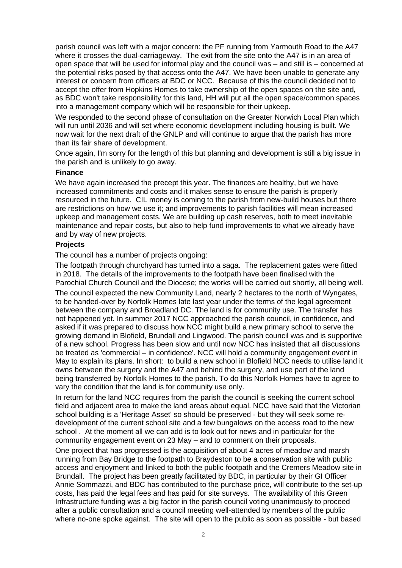parish council was left with a major concern: the PF running from Yarmouth Road to the A47 where it crosses the dual-carriageway. The exit from the site onto the A47 is in an area of open space that will be used for informal play and the council was – and still is – concerned at the potential risks posed by that access onto the A47. We have been unable to generate any interest or concern from officers at BDC or NCC. Because of this the council decided not to accept the offer from Hopkins Homes to take ownership of the open spaces on the site and, as BDC won't take responsibility for this land, HH will put all the open space/common spaces into a management company which will be responsible for their upkeep.

We responded to the second phase of consultation on the Greater Norwich Local Plan which will run until 2036 and will set where economic development including housing is built. We now wait for the next draft of the GNLP and will continue to argue that the parish has more than its fair share of development.

Once again, I'm sorry for the length of this but planning and development is still a big issue in the parish and is unlikely to go away.

#### **Finance**

We have again increased the precept this year. The finances are healthy, but we have increased commitments and costs and it makes sense to ensure the parish is properly resourced in the future. CIL money is coming to the parish from new-build houses but there are restrictions on how we use it; and improvements to parish facilities will mean increased upkeep and management costs. We are building up cash reserves, both to meet inevitable maintenance and repair costs, but also to help fund improvements to what we already have and by way of new projects.

#### **Projects**

The council has a number of projects ongoing:

The footpath through churchyard has turned into a saga. The replacement gates were fitted in 2018. The details of the improvements to the footpath have been finalised with the Parochial Church Council and the Diocese; the works will be carried out shortly, all being well. The council expected the new Community Land, nearly 2 hectares to the north of Wyngates, to be handed-over by Norfolk Homes late last year under the terms of the legal agreement between the company and Broadland DC. The land is for community use. The transfer has not happened yet. In summer 2017 NCC approached the parish council, in confidence, and asked if it was prepared to discuss how NCC might build a new primary school to serve the growing demand in Blofield, Brundall and Lingwood. The parish council was and is supportive of a new school. Progress has been slow and until now NCC has insisted that all discussions be treated as 'commercial – in confidence'. NCC will hold a community engagement event in May to explain its plans. In short: to build a new school in Blofield NCC needs to utilise land it owns between the surgery and the A47 and behind the surgery, and use part of the land being transferred by Norfolk Homes to the parish. To do this Norfolk Homes have to agree to vary the condition that the land is for community use only.

In return for the land NCC requires from the parish the council is seeking the current school field and adjacent area to make the land areas about equal. NCC have said that the Victorian school building is a 'Heritage Asset' so should be preserved - but they will seek some redevelopment of the current school site and a few bungalows on the access road to the new school . At the moment all we can add is to look out for news and in particular for the community engagement event on 23 May – and to comment on their proposals.

One project that has progressed is the acquisition of about 4 acres of meadow and marsh running from Bay Bridge to the footpath to Braydeston to be a conservation site with public access and enjoyment and linked to both the public footpath and the Cremers Meadow site in Brundall. The project has been greatly facilitated by BDC, in particular by their GI Officer Annie Sommazzi, and BDC has contributed to the purchase price, will contribute to the set-up costs, has paid the legal fees and has paid for site surveys. The availability of this Green Infrastructure funding was a big factor in the parish council voting unanimously to proceed after a public consultation and a council meeting well-attended by members of the public where no-one spoke against. The site will open to the public as soon as possible - but based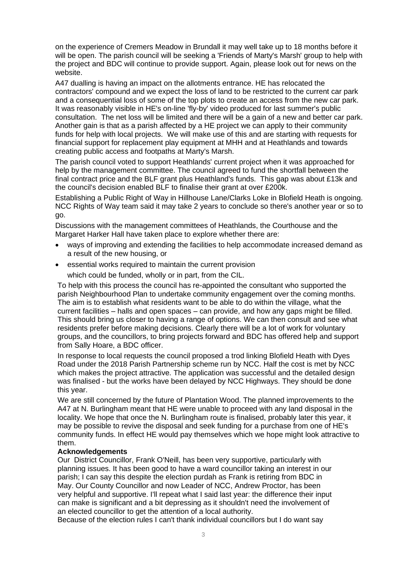on the experience of Cremers Meadow in Brundall it may well take up to 18 months before it will be open. The parish council will be seeking a 'Friends of Marty's Marsh' group to help with the project and BDC will continue to provide support. Again, please look out for news on the website.

A47 dualling is having an impact on the allotments entrance. HE has relocated the contractors' compound and we expect the loss of land to be restricted to the current car park and a consequential loss of some of the top plots to create an access from the new car park. It was reasonably visible in HE's on-line 'fly-by' video produced for last summer's public consultation. The net loss will be limited and there will be a gain of a new and better car park. Another gain is that as a parish affected by a HE project we can apply to their community funds for help with local projects. We will make use of this and are starting with requests for financial support for replacement play equipment at MHH and at Heathlands and towards creating public access and footpaths at Marty's Marsh.

The parish council voted to support Heathlands' current project when it was approached for help by the management committee. The council agreed to fund the shortfall between the final contract price and the BLF grant plus Heathland's funds. This gap was about £13k and the council's decision enabled BLF to finalise their grant at over £200k.

Establishing a Public Right of Way in Hillhouse Lane/Clarks Loke in Blofield Heath is ongoing. NCC Rights of Way team said it may take 2 years to conclude so there's another year or so to go.

Discussions with the management committees of Heathlands, the Courthouse and the Margaret Harker Hall have taken place to explore whether there are:

- ways of improving and extending the facilities to help accommodate increased demand as a result of the new housing, or
- essential works required to maintain the current provision which could be funded, wholly or in part, from the CIL.

To help with this process the council has re-appointed the consultant who supported the parish Neighbourhood Plan to undertake community engagement over the coming months. The aim is to establish what residents want to be able to do within the village, what the current facilities – halls and open spaces – can provide, and how any gaps might be filled. This should bring us closer to having a range of options. We can then consult and see what residents prefer before making decisions. Clearly there will be a lot of work for voluntary groups, and the councillors, to bring projects forward and BDC has offered help and support from Sally Hoare, a BDC officer.

In response to local requests the council proposed a trod linking Blofield Heath with Dyes Road under the 2018 Parish Partnership scheme run by NCC. Half the cost is met by NCC which makes the project attractive. The application was successful and the detailed design was finalised - but the works have been delayed by NCC Highways. They should be done this year.

We are still concerned by the future of Plantation Wood. The planned improvements to the A47 at N. Burlingham meant that HE were unable to proceed with any land disposal in the locality. We hope that once the N. Burlingham route is finalised, probably later this year, it may be possible to revive the disposal and seek funding for a purchase from one of HE's community funds. In effect HE would pay themselves which we hope might look attractive to them.

## **Acknowledgements**

Our District Councillor, Frank O'Neill, has been very supportive, particularly with planning issues. It has been good to have a ward councillor taking an interest in our parish; I can say this despite the election purdah as Frank is retiring from BDC in May. Our County Councillor and now Leader of NCC, Andrew Proctor, has been very helpful and supportive. I'll repeat what I said last year: the difference their input can make is significant and a bit depressing as it shouldn't need the involvement of an elected councillor to get the attention of a local authority.

Because of the election rules I can't thank individual councillors but I do want say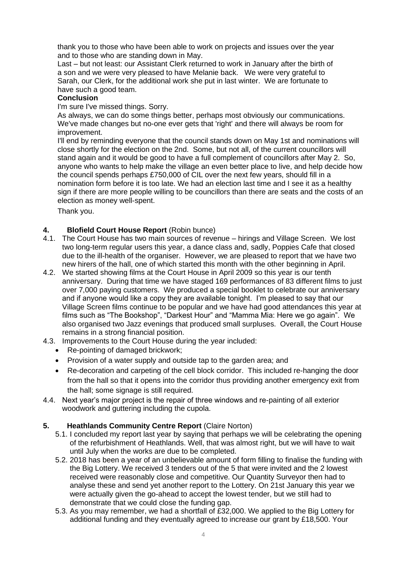thank you to those who have been able to work on projects and issues over the year and to those who are standing down in May.

Last – but not least: our Assistant Clerk returned to work in January after the birth of a son and we were very pleased to have Melanie back. We were very grateful to Sarah, our Clerk, for the additional work she put in last winter. We are fortunate to have such a good team.

## **Conclusion**

I'm sure I've missed things. Sorry.

As always, we can do some things better, perhaps most obviously our communications. We've made changes but no-one ever gets that 'right' and there will always be room for improvement.

I'll end by reminding everyone that the council stands down on May 1st and nominations will close shortly for the election on the 2nd. Some, but not all, of the current councillors will stand again and it would be good to have a full complement of councillors after May 2. So, anyone who wants to help make the village an even better place to live, and help decide how the council spends perhaps £750,000 of CIL over the next few years, should fill in a nomination form before it is too late. We had an election last time and I see it as a healthy sign if there are more people willing to be councillors than there are seats and the costs of an election as money well-spent.

Thank you.

# **4. Blofield Court House Report** (Robin bunce)

- 4.1. The Court House has two main sources of revenue hirings and Village Screen. We lost two long-term regular users this year, a dance class and, sadly, Poppies Cafe that closed due to the ill-health of the organiser. However, we are pleased to report that we have two new hirers of the hall, one of which started this month with the other beginning in April.
- 4.2. We started showing films at the Court House in April 2009 so this year is our tenth anniversary. During that time we have staged 169 performances of 83 different films to just over 7,000 paying customers. We produced a special booklet to celebrate our anniversary and if anyone would like a copy they are available tonight. I'm pleased to say that our Village Screen films continue to be popular and we have had good attendances this year at films such as "The Bookshop", "Darkest Hour" and "Mamma Mia: Here we go again". We also organised two Jazz evenings that produced small surpluses. Overall, the Court House remains in a strong financial position.
- 4.3. Improvements to the Court House during the year included:
	- Re-pointing of damaged brickwork;
	- Provision of a water supply and outside tap to the garden area; and
	- Re-decoration and carpeting of the cell block corridor. This included re-hanging the door from the hall so that it opens into the corridor thus providing another emergency exit from the hall; some signage is still required.
- 4.4. Next year's major project is the repair of three windows and re-painting of all exterior woodwork and guttering including the cupola.

## **5. Heathlands Community Centre Report** (Claire Norton)

- 5.1. I concluded my report last year by saying that perhaps we will be celebrating the opening of the refurbishment of Heathlands. Well, that was almost right, but we will have to wait until July when the works are due to be completed.
- 5.2. 2018 has been a year of an unbelievable amount of form filling to finalise the funding with the Big Lottery. We received 3 tenders out of the 5 that were invited and the 2 lowest received were reasonably close and competitive. Our Quantity Surveyor then had to analyse these and send yet another report to the Lottery. On 21st January this year we were actually given the go-ahead to accept the lowest tender, but we still had to demonstrate that we could close the funding gap.
- 5.3. As you may remember, we had a shortfall of £32,000. We applied to the Big Lottery for additional funding and they eventually agreed to increase our grant by £18,500. Your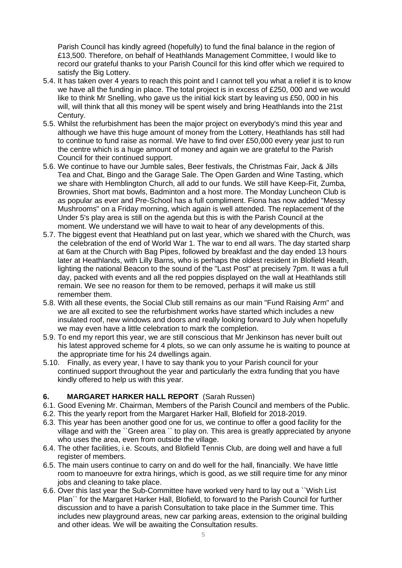Parish Council has kindly agreed (hopefully) to fund the final balance in the region of £13,500. Therefore, on behalf of Heathlands Management Committee, I would like to record our grateful thanks to your Parish Council for this kind offer which we required to satisfy the Big Lottery.

- 5.4. It has taken over 4 years to reach this point and I cannot tell you what a relief it is to know we have all the funding in place. The total project is in excess of £250, 000 and we would like to think Mr Snelling, who gave us the initial kick start by leaving us £50, 000 in his will, will think that all this money will be spent wisely and bring Heathlands into the 21st Century.
- 5.5. Whilst the refurbishment has been the major project on everybody's mind this year and although we have this huge amount of money from the Lottery, Heathlands has still had to continue to fund raise as normal. We have to find over £50,000 every year just to run the centre which is a huge amount of money and again we are grateful to the Parish Council for their continued support.
- 5.6. We continue to have our Jumble sales, Beer festivals, the Christmas Fair, Jack & Jills Tea and Chat, Bingo and the Garage Sale. The Open Garden and Wine Tasting, which we share with Hemblington Church, all add to our funds. We still have Keep-Fit, Zumba, Brownies, Short mat bowls, Badminton and a host more. The Monday Luncheon Club is as popular as ever and Pre-School has a full compliment. Fiona has now added "Messy Mushrooms" on a Friday morning, which again is well attended. The replacement of the Under 5's play area is still on the agenda but this is with the Parish Council at the moment. We understand we will have to wait to hear of any developments of this.
- 5.7. The biggest event that Heathland put on last year, which we shared with the Church, was the celebration of the end of World War 1. The war to end all wars. The day started sharp at 6am at the Church with Bag Pipes, followed by breakfast and the day ended 13 hours later at Heathlands, with Lilly Barns, who is perhaps the oldest resident in Blofield Heath, lighting the national Beacon to the sound of the "Last Post" at precisely 7pm. It was a full day, packed with events and all the red poppies displayed on the wall at Heathlands still remain. We see no reason for them to be removed, perhaps it will make us still remember them.
- 5.8. With all these events, the Social Club still remains as our main "Fund Raising Arm" and we are all excited to see the refurbishment works have started which includes a new insulated roof, new windows and doors and really looking forward to July when hopefully we may even have a little celebration to mark the completion.
- 5.9. To end my report this year, we are still conscious that Mr Jenkinson has never built out his latest approved scheme for 4 plots, so we can only assume he is waiting to pounce at the appropriate time for his 24 dwellings again.
- 5.10. Finally, as every year, I have to say thank you to your Parish council for your continued support throughout the year and particularly the extra funding that you have kindly offered to help us with this year.

# **6. MARGARET HARKER HALL REPORT** (Sarah Russen)

- 6.1. Good Evening Mr. Chairman, Members of the Parish Council and members of the Public.
- 6.2. This the yearly report from the Margaret Harker Hall, Blofield for 2018-2019.
- 6.3. This year has been another good one for us, we continue to offer a good facility for the village and with the ``Green area `` to play on. This area is greatly appreciated by anyone who uses the area, even from outside the village.
- 6.4. The other facilities, i.e. Scouts, and Blofield Tennis Club, are doing well and have a full register of members.
- 6.5. The main users continue to carry on and do well for the hall, financially. We have little room to manoeuvre for extra hirings, which is good, as we still require time for any minor jobs and cleaning to take place.
- 6.6. Over this last year the Sub-Committee have worked very hard to lay out a ``Wish List Plan`` for the Margaret Harker Hall, Blofield, to forward to the Parish Council for further discussion and to have a parish Consultation to take place in the Summer time. This includes new playground areas, new car parking areas, extension to the original building and other ideas. We will be awaiting the Consultation results.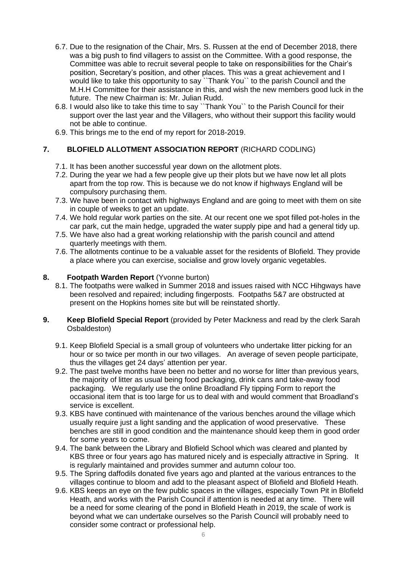- 6.7. Due to the resignation of the Chair, Mrs. S. Russen at the end of December 2018, there was a big push to find villagers to assist on the Committee. With a good response, the Committee was able to recruit several people to take on responsibilities for the Chair's position, Secretary's position, and other places. This was a great achievement and I would like to take this opportunity to say ``Thank You`` to the parish Council and the M.H.H Committee for their assistance in this, and wish the new members good luck in the future. The new Chairman is: Mr. Julian Rudd.
- 6.8. I would also like to take this time to say ``Thank You`` to the Parish Council for their support over the last year and the Villagers, who without their support this facility would not be able to continue.
- 6.9. This brings me to the end of my report for 2018-2019.

# **7. BLOFIELD ALLOTMENT ASSOCIATION REPORT** (RICHARD CODLING)

- 7.1. It has been another successful year down on the allotment plots.
- 7.2. During the year we had a few people give up their plots but we have now let all plots apart from the top row. This is because we do not know if highways England will be compulsory purchasing them.
- 7.3. We have been in contact with highways England and are going to meet with them on site in couple of weeks to get an update.
- 7.4. We hold regular work parties on the site. At our recent one we spot filled pot-holes in the car park, cut the main hedge, upgraded the water supply pipe and had a general tidy up.
- 7.5. We have also had a great working relationship with the parish council and attend quarterly meetings with them.
- 7.6. The allotments continue to be a valuable asset for the residents of Blofield. They provide a place where you can exercise, socialise and grow lovely organic vegetables.

# **8. Footpath Warden Report** (Yvonne burton)

- 8.1. The footpaths were walked in Summer 2018 and issues raised with NCC Hihgways have been resolved and repaired; including fingerposts. Footpaths 5&7 are obstructed at present on the Hopkins homes site but will be reinstated shortly.
- **9. Keep Blofield Special Report** (provided by Peter Mackness and read by the clerk Sarah Osbaldeston)
	- 9.1. Keep Blofield Special is a small group of volunteers who undertake litter picking for an hour or so twice per month in our two villages. An average of seven people participate, thus the villages get 24 days' attention per year.
	- 9.2. The past twelve months have been no better and no worse for litter than previous years, the majority of litter as usual being food packaging, drink cans and take-away food packaging. We regularly use the online Broadland Fly tipping Form to report the occasional item that is too large for us to deal with and would comment that Broadland's service is excellent.
	- 9.3. KBS have continued with maintenance of the various benches around the village which usually require just a light sanding and the application of wood preservative. These benches are still in good condition and the maintenance should keep them in good order for some years to come.
	- 9.4. The bank between the Library and Blofield School which was cleared and planted by KBS three or four years ago has matured nicely and is especially attractive in Spring. It is regularly maintained and provides summer and autumn colour too.
	- 9.5. The Spring daffodils donated five years ago and planted at the various entrances to the villages continue to bloom and add to the pleasant aspect of Blofield and Blofield Heath.
	- 9.6. KBS keeps an eye on the few public spaces in the villages, especially Town Pit in Blofield Heath, and works with the Parish Council if attention is needed at any time. There will be a need for some clearing of the pond in Blofield Heath in 2019, the scale of work is beyond what we can undertake ourselves so the Parish Council will probably need to consider some contract or professional help.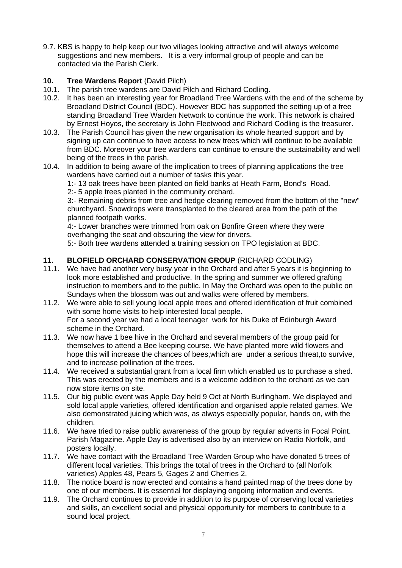9.7. KBS is happy to help keep our two villages looking attractive and will always welcome suggestions and new members. It is a very informal group of people and can be contacted via the Parish Clerk.

# **10. Tree Wardens Report** (David Pilch)

- 10.1. The parish tree wardens are David Pilch and Richard Codling**.**
- 10.2. It has been an interesting year for Broadland Tree Wardens with the end of the scheme by Broadland District Council (BDC). However BDC has supported the setting up of a free standing Broadland Tree Warden Network to continue the work. This network is chaired by Ernest Hoyos, the secretary is John Fleetwood and Richard Codling is the treasurer.
- 10.3. The Parish Council has given the new organisation its whole hearted support and by signing up can continue to have access to new trees which will continue to be available from BDC. Moreover your tree wardens can continue to ensure the sustainability and well being of the trees in the parish.
- 10.4. In addition to being aware of the implication to trees of planning applications the tree wardens have carried out a number of tasks this year.

1:- 13 oak trees have been planted on field banks at Heath Farm, Bond's Road.

2:- 5 apple trees planted in the community orchard.

3:- Remaining debris from tree and hedge clearing removed from the bottom of the "new" churchyard. Snowdrops were transplanted to the cleared area from the path of the planned footpath works.

4:- Lower branches were trimmed from oak on Bonfire Green where they were overhanging the seat and obscuring the view for drivers.

5:- Both tree wardens attended a training session on TPO legislation at BDC.

# **11. BLOFIELD ORCHARD CONSERVATION GROUP** (RICHARD CODLING)

- 11.1. We have had another very busy year in the Orchard and after 5 years it is beginning to look more established and productive. In the spring and summer we offered grafting instruction to members and to the public. In May the Orchard was open to the public on Sundays when the blossom was out and walks were offered by members.
- 11.2. We were able to sell young local apple trees and offered identification of fruit combined with some home visits to help interested local people. For a second year we had a local teenager work for his Duke of Edinburgh Award scheme in the Orchard.
- 11.3. We now have 1 bee hive in the Orchard and several members of the group paid for themselves to attend a Bee keeping course. We have planted more wild flowers and hope this will increase the chances of bees,which are under a serious threat,to survive, and to increase pollination of the trees.
- 11.4. We received a substantial grant from a local firm which enabled us to purchase a shed. This was erected by the members and is a welcome addition to the orchard as we can now store items on site.
- 11.5. Our big public event was Apple Day held 9 Oct at North Burlingham. We displayed and sold local apple varieties, offered identification and organised apple related games. We also demonstrated juicing which was, as always especially popular, hands on, with the children.
- 11.6. We have tried to raise public awareness of the group by regular adverts in Focal Point. Parish Magazine. Apple Day is advertised also by an interview on Radio Norfolk, and posters locally.
- 11.7. We have contact with the Broadland Tree Warden Group who have donated 5 trees of different local varieties. This brings the total of trees in the Orchard to (all Norfolk varieties) Apples 48, Pears 5, Gages 2 and Cherries 2.
- 11.8. The notice board is now erected and contains a hand painted map of the trees done by one of our members. It is essential for displaying ongoing information and events.
- 11.9. The Orchard continues to provide in addition to its purpose of conserving local varieties and skills, an excellent social and physical opportunity for members to contribute to a sound local project.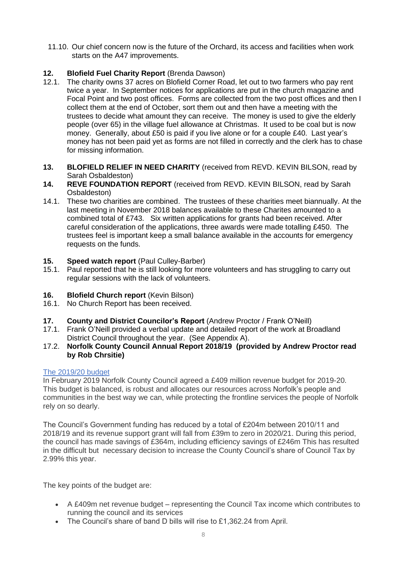11.10. Our chief concern now is the future of the Orchard, its access and facilities when work starts on the A47 improvements.

# **12. Blofield Fuel Charity Report** (Brenda Dawson)

- 12.1. The charity owns 37 acres on Blofield Corner Road, let out to two farmers who pay rent twice a year. In September notices for applications are put in the church magazine and Focal Point and two post offices. Forms are collected from the two post offices and then I collect them at the end of October, sort them out and then have a meeting with the trustees to decide what amount they can receive. The money is used to give the elderly people (over 65) in the village fuel allowance at Christmas. It used to be coal but is now money. Generally, about £50 is paid if you live alone or for a couple £40. Last year's money has not been paid yet as forms are not filled in correctly and the clerk has to chase for missing information.
- **13. BLOFIELD RELIEF IN NEED CHARITY** (received from REVD. KEVIN BILSON, read by Sarah Osbaldeston)
- **14. REVE FOUNDATION REPORT** (received from REVD. KEVIN BILSON, read by Sarah Osbaldeston)
- 14.1. These two charities are combined. The trustees of these charities meet biannually. At the last meeting in November 2018 balances available to these Charites amounted to a combined total of £743. Six written applications for grants had been received. After careful consideration of the applications, three awards were made totalling £450. The trustees feel is important keep a small balance available in the accounts for emergency requests on the funds.

# **15. Speed watch report** (Paul Culley-Barber)

15.1. Paul reported that he is still looking for more volunteers and has struggling to carry out regular sessions with the lack of volunteers.

# **16. Blofield Church report** (Kevin Bilson)

- 16.1. No Church Report has been received.
- **17. County and District Councilor's Report** (Andrew Proctor / Frank O'Neill)
- 17.1. Frank O'Neill provided a verbal update and detailed report of the work at Broadland District Council throughout the year. (See Appendix A).
- 17.2. **Norfolk County Council Annual Report 2018/19 (provided by Andrew Proctor read by Rob Chrsitie)**

## The 2019/20 budget

In February 2019 Norfolk County Council agreed a £409 million revenue budget for 2019-20. This budget is balanced, is robust and allocates our resources across Norfolk's people and communities in the best way we can, while protecting the frontline services the people of Norfolk rely on so dearly.

The Council's Government funding has reduced by a total of £204m between 2010/11 and 2018/19 and its revenue support grant will fall from £39m to zero in 2020/21. During this period, the council has made savings of £364m, including efficiency savings of £246m This has resulted in the difficult but necessary decision to increase the County Council's share of Council Tax by 2.99% this year.

The key points of the budget are:

- A £409m net revenue budget representing the Council Tax income which contributes to running the council and its services
- The Council's share of band D bills will rise to £1,362.24 from April.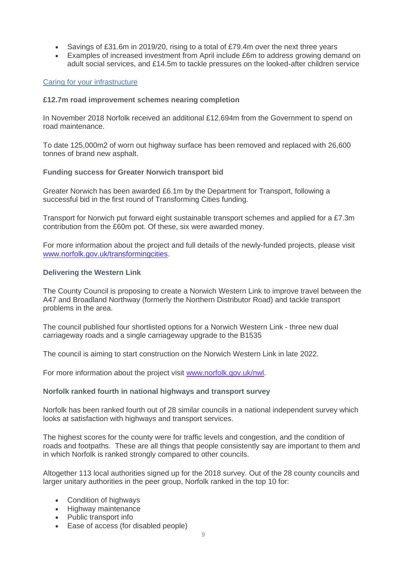- Savings of £31.6m in 2019/20, rising to a total of £79.4m over the next three years
- Examples of increased investment from April include £6m to address growing demand on adult social services, and £14.5m to tackle pressures on the looked-after children service

# Caring for your infrastructure

## **£12.7m road improvement schemes nearing completion**

In November 2018 Norfolk received an additional £12.694m from the Government to spend on road maintenance.

To date 125,000m2 of worn out highway surface has been removed and replaced with 26,600 tonnes of brand new asphalt.

# **Funding success for Greater Norwich transport bid**

Greater Norwich has been awarded £6.1m by the Department for Transport, following a successful bid in the first round of Transforming Cities funding.

Transport for Norwich put forward eight sustainable transport schemes and applied for a £7.3m contribution from the £60m pot. Of these, six were awarded money.

For more information about the project and full details of the newly-funded projects, please visit [www.norfolk.gov.uk/transformingcities.](https://www.norfolk.gov.uk/transformingcities)

# **Delivering the Western Link**

The County Council is proposing to create a Norwich Western Link to improve travel between the A47 and Broadland Northway (formerly the Northern Distributor Road) and tackle transport problems in the area.

The council published four shortlisted options for a Norwich Western Link - three new dual carriageway roads and a single carriageway upgrade to the B1535

The council is aiming to start construction on the Norwich Western Link in late 2022.

For more information about the project visit [www.norfolk.gov.uk/nwl.](https://www.norfolk.gov.uk/nwl)

## **Norfolk ranked fourth in national highways and transport survey**

Norfolk has been ranked fourth out of 28 similar councils in a national independent survey which looks at satisfaction with highways and transport services.

The highest scores for the county were for traffic levels and congestion, and the condition of roads and footpaths. These are all things that people consistently say are important to them and in which Norfolk is ranked strongly compared to other councils.

Altogether 113 local authorities signed up for the 2018 survey. Out of the 28 county councils and larger unitary authorities in the peer group, Norfolk ranked in the top 10 for:

- Condition of highways
- Highway maintenance
- Public transport info
- Ease of access (for disabled people)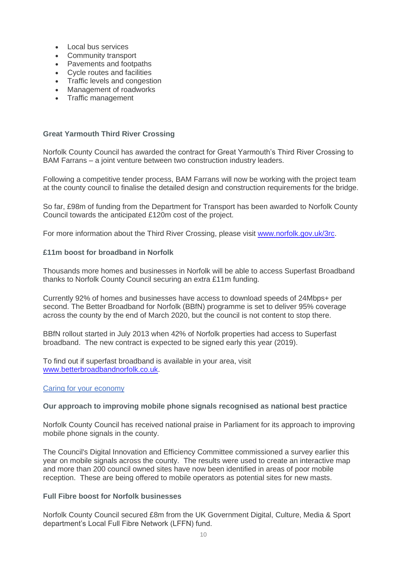- Local bus services
- Community transport
- Pavements and footpaths
- Cycle routes and facilities
- Traffic levels and congestion
- Management of roadworks
- Traffic management

#### **Great Yarmouth Third River Crossing**

Norfolk County Council has awarded the contract for Great Yarmouth's Third River Crossing to BAM Farrans – a joint venture between two construction industry leaders.

Following a competitive tender process, BAM Farrans will now be working with the project team at the county council to finalise the detailed design and construction requirements for the bridge.

So far, £98m of funding from the Department for Transport has been awarded to Norfolk County Council towards the anticipated £120m cost of the project.

For more information about the Third River Crossing, please visit [www.norfolk.gov.uk/3rc.](https://www.norfolk.gov.uk/roads-and-transport/major-projects-and-improvement-plans/great-yarmouth/third-river-crossing)

#### **£11m boost for broadband in Norfolk**

Thousands more homes and businesses in Norfolk will be able to access Superfast Broadband thanks to Norfolk County Council securing an extra £11m funding.

Currently 92% of homes and businesses have access to download speeds of 24Mbps+ per second. The Better Broadband for Norfolk (BBfN) programme is set to deliver 95% coverage across the county by the end of March 2020, but the council is not content to stop there.

BBfN rollout started in July 2013 when 42% of Norfolk properties had access to Superfast broadband. The new contract is expected to be signed early this year (2019).

To find out if superfast broadband is available in your area, visit [www.betterbroadbandnorfolk.co.uk.](https://www.betterbroadbandnorfolk.co.uk/)

#### Caring for your economy

#### **Our approach to improving mobile phone signals recognised as national best practice**

Norfolk County Council has received national praise in Parliament for its approach to improving mobile phone signals in the county.

The Council's Digital Innovation and Efficiency Committee commissioned a survey earlier this year on mobile signals across the county. The results were used to create an interactive map and more than 200 council owned sites have now been identified in areas of poor mobile reception. These are being offered to mobile operators as potential sites for new masts.

#### **Full Fibre boost for Norfolk businesses**

Norfolk County Council secured £8m from the UK Government Digital, Culture, Media & Sport department's Local Full Fibre Network (LFFN) fund.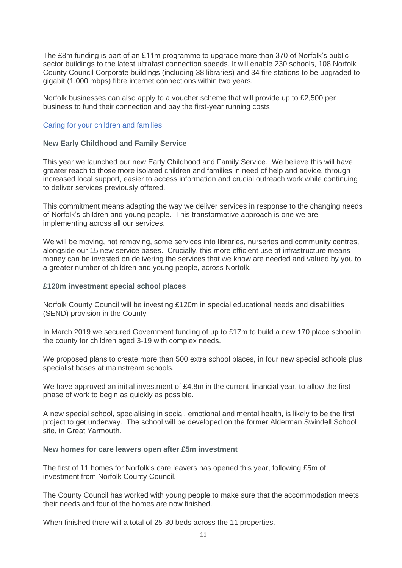The £8m funding is part of an £11m programme to upgrade more than 370 of Norfolk's publicsector buildings to the latest ultrafast connection speeds. It will enable 230 schools, 108 Norfolk County Council Corporate buildings (including 38 libraries) and 34 fire stations to be upgraded to gigabit (1,000 mbps) fibre internet connections within two years.

Norfolk businesses can also apply to a voucher scheme that will provide up to £2,500 per business to fund their connection and pay the first-year running costs.

## Caring for your children and families

#### **New Early Childhood and Family Service**

This year we launched our new Early Childhood and Family Service. We believe this will have greater reach to those more isolated children and families in need of help and advice, through increased local support, easier to access information and crucial outreach work while continuing to deliver services previously offered.

This commitment means adapting the way we deliver services in response to the changing needs of Norfolk's children and young people. This transformative approach is one we are implementing across all our services.

We will be moving, not removing, some services into libraries, nurseries and community centres, alongside our 15 new service bases. Crucially, this more efficient use of infrastructure means money can be invested on delivering the services that we know are needed and valued by you to a greater number of children and young people, across Norfolk.

#### **£120m investment special school places**

Norfolk County Council will be investing £120m in special educational needs and disabilities (SEND) provision in the County

In March 2019 we secured Government funding of up to £17m to build a new 170 place school in the county for children aged 3-19 with complex needs.

We proposed plans to create more than 500 extra school places, in four new special schools plus specialist bases at mainstream schools.

We have approved an initial investment of £4.8m in the current financial year, to allow the first phase of work to begin as quickly as possible.

A new special school, specialising in social, emotional and mental health, is likely to be the first project to get underway. The school will be developed on the former Alderman Swindell School site, in Great Yarmouth.

#### **New homes for care leavers open after £5m investment**

The first of 11 homes for Norfolk's care leavers has opened this year, following £5m of investment from Norfolk County Council.

The County Council has worked with young people to make sure that the accommodation meets their needs and four of the homes are now finished.

When finished there will a total of 25-30 beds across the 11 properties.